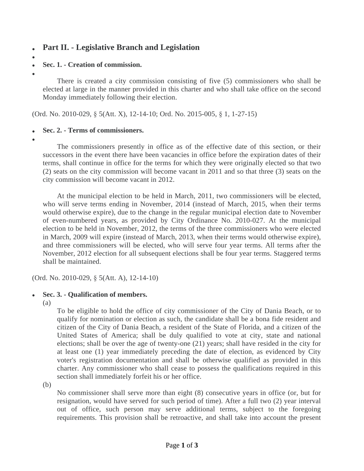# **Part II. - Legislative Branch and Legislation**

 $\bullet$ 

#### **Sec. 1. - Creation of commission.**

 $\bullet$ 

There is created a city commission consisting of five (5) commissioners who shall be elected at large in the manner provided in this charter and who shall take office on the second Monday immediately following their election.

(Ord. No. 2010-029, § 5(Att. X), 12-14-10; Ord. No. 2015-005, § 1, 1-27-15)

#### **Sec. 2. - Terms of commissioners.**

 $\bullet$ 

The commissioners presently in office as of the effective date of this section, or their successors in the event there have been vacancies in office before the expiration dates of their terms, shall continue in office for the terms for which they were originally elected so that two (2) seats on the city commission will become vacant in 2011 and so that three (3) seats on the city commission will become vacant in 2012.

At the municipal election to be held in March, 2011, two commissioners will be elected, who will serve terms ending in November, 2014 (instead of March, 2015, when their terms would otherwise expire), due to the change in the regular municipal election date to November of even-numbered years, as provided by City Ordinance No. 2010-027. At the municipal election to be held in November, 2012, the terms of the three commissioners who were elected in March, 2009 will expire (instead of March, 2013, when their terms would otherwise expire), and three commissioners will be elected, who will serve four year terms. All terms after the November, 2012 election for all subsequent elections shall be four year terms. Staggered terms shall be maintained.

(Ord. No. 2010-029, § 5(Att. A), 12-14-10)

### **Sec. 3. - Qualification of members.**

(a)

To be eligible to hold the office of city commissioner of the City of Dania Beach, or to qualify for nomination or election as such, the candidate shall be a bona fide resident and citizen of the City of Dania Beach, a resident of the State of Florida, and a citizen of the United States of America; shall be duly qualified to vote at city, state and national elections; shall be over the age of twenty-one (21) years; shall have resided in the city for at least one (1) year immediately preceding the date of election, as evidenced by City voter's registration documentation and shall be otherwise qualified as provided in this charter. Any commissioner who shall cease to possess the qualifications required in this section shall immediately forfeit his or her office.

(b)

No commissioner shall serve more than eight (8) consecutive years in office (or, but for resignation, would have served for such period of time). After a full two (2) year interval out of office, such person may serve additional terms, subject to the foregoing requirements. This provision shall be retroactive, and shall take into account the present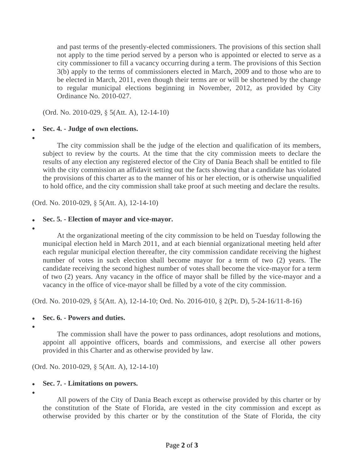and past terms of the presently-elected commissioners. The provisions of this section shall not apply to the time period served by a person who is appointed or elected to serve as a city commissioner to fill a vacancy occurring during a term. The provisions of this Section 3(b) apply to the terms of commissioners elected in March, 2009 and to those who are to be elected in March, 2011, even though their terms are or will be shortened by the change to regular municipal elections beginning in November, 2012, as provided by City Ordinance No. 2010-027.

(Ord. No. 2010-029, § 5(Att. A), 12-14-10)

### **Sec. 4. - Judge of own elections.**

 $\bullet$ 

The city commission shall be the judge of the election and qualification of its members, subject to review by the courts. At the time that the city commission meets to declare the results of any election any registered elector of the City of Dania Beach shall be entitled to file with the city commission an affidavit setting out the facts showing that a candidate has violated the provisions of this charter as to the manner of his or her election, or is otherwise unqualified to hold office, and the city commission shall take proof at such meeting and declare the results.

(Ord. No. 2010-029, § 5(Att. A), 12-14-10)

## **Sec. 5. - Election of mayor and vice-mayor.**

 $\bullet$ 

At the organizational meeting of the city commission to be held on Tuesday following the municipal election held in March 2011, and at each biennial organizational meeting held after each regular municipal election thereafter, the city commission candidate receiving the highest number of votes in such election shall become mayor for a term of two (2) years. The candidate receiving the second highest number of votes shall become the vice-mayor for a term of two (2) years. Any vacancy in the office of mayor shall be filled by the vice-mayor and a vacancy in the office of vice-mayor shall be filled by a vote of the city commission.

(Ord. No. 2010-029, § 5(Att. A), 12-14-10; Ord. No. 2016-010, § 2(Pt. D), 5-24-16/11-8-16)

### **Sec. 6. - Powers and duties.**

 $\bullet$ 

The commission shall have the power to pass ordinances, adopt resolutions and motions, appoint all appointive officers, boards and commissions, and exercise all other powers provided in this Charter and as otherwise provided by law.

(Ord. No. 2010-029, § 5(Att. A), 12-14-10)

## **Sec. 7. - Limitations on powers.**

 $\bullet$ 

All powers of the City of Dania Beach except as otherwise provided by this charter or by the constitution of the State of Florida, are vested in the city commission and except as otherwise provided by this charter or by the constitution of the State of Florida, the city